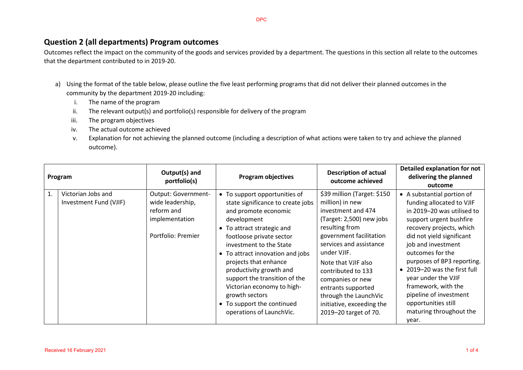## **Question 2 (all departments) Program outcomes**

Outcomes reflect the impact on the community of the goods and services provided by a department. The questions in this section all relate to the outcomes that the department contributed to in 2019-20.

- a) Using the format of the table below, please outline the five least performing programs that did not deliver their planned outcomes in the community by the department 2019-20 including:
	- i. The name of the program
	- ii. The relevant output(s) and portfolio(s) responsible for delivery of the program
	- iii. The program objectives
	- iv. The actual outcome achieved
	- v. Explanation for not achieving the planned outcome (including a description of what actions were taken to try and achieve the planned outcome).

| Program |                                              | Output(s) and<br>portfolio(s)                                                                 | <b>Program objectives</b>                                                                                                                                                                                                                                                                                                                                                                                                         | <b>Description of actual</b><br>outcome achieved                                                                                                                                                                                                                                                                                                              | <b>Detailed explanation for not</b><br>delivering the planned<br>outcome                                                                                                                                                                                                                                                                                                                                             |
|---------|----------------------------------------------|-----------------------------------------------------------------------------------------------|-----------------------------------------------------------------------------------------------------------------------------------------------------------------------------------------------------------------------------------------------------------------------------------------------------------------------------------------------------------------------------------------------------------------------------------|---------------------------------------------------------------------------------------------------------------------------------------------------------------------------------------------------------------------------------------------------------------------------------------------------------------------------------------------------------------|----------------------------------------------------------------------------------------------------------------------------------------------------------------------------------------------------------------------------------------------------------------------------------------------------------------------------------------------------------------------------------------------------------------------|
| 1.      | Victorian Jobs and<br>Investment Fund (VJIF) | Output: Government-<br>wide leadership,<br>reform and<br>implementation<br>Portfolio: Premier | • To support opportunities of<br>state significance to create jobs<br>and promote economic<br>development<br>• To attract strategic and<br>footloose private sector<br>investment to the State<br>• To attract innovation and jobs<br>projects that enhance<br>productivity growth and<br>support the transition of the<br>Victorian economy to high-<br>growth sectors<br>• To support the continued<br>operations of LaunchVic. | \$39 million (Target: \$150<br>million) in new<br>investment and 474<br>(Target: 2,500) new jobs<br>resulting from<br>government facilitation<br>services and assistance<br>under VJIF.<br>Note that VJIF also<br>contributed to 133<br>companies or new<br>entrants supported<br>through the LaunchVic<br>initiative, exceeding the<br>2019-20 target of 70. | • A substantial portion of<br>funding allocated to VJIF<br>in 2019-20 was utilised to<br>support urgent bushfire<br>recovery projects, which<br>did not yield significant<br>job and investment<br>outcomes for the<br>purposes of BP3 reporting.<br>• 2019-20 was the first full<br>year under the VJIF<br>framework, with the<br>pipeline of investment<br>opportunities still<br>maturing throughout the<br>year. |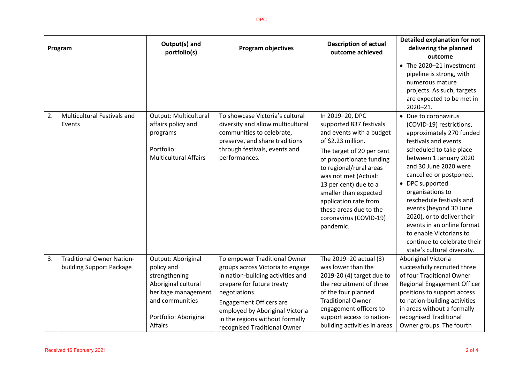| Program |                                                              | Output(s) and<br>portfolio(s)                                                                                                                                 | <b>Program objectives</b>                                                                                                                                                                                                                                                                   | <b>Description of actual</b><br>outcome achieved                                                                                                                                                                                                                                                                                                     | <b>Detailed explanation for not</b><br>delivering the planned<br>outcome                                                                                                                                                                                                                                                                                                                                                                                        |
|---------|--------------------------------------------------------------|---------------------------------------------------------------------------------------------------------------------------------------------------------------|---------------------------------------------------------------------------------------------------------------------------------------------------------------------------------------------------------------------------------------------------------------------------------------------|------------------------------------------------------------------------------------------------------------------------------------------------------------------------------------------------------------------------------------------------------------------------------------------------------------------------------------------------------|-----------------------------------------------------------------------------------------------------------------------------------------------------------------------------------------------------------------------------------------------------------------------------------------------------------------------------------------------------------------------------------------------------------------------------------------------------------------|
|         |                                                              |                                                                                                                                                               |                                                                                                                                                                                                                                                                                             |                                                                                                                                                                                                                                                                                                                                                      | • The 2020-21 investment<br>pipeline is strong, with<br>numerous mature<br>projects. As such, targets<br>are expected to be met in<br>2020-21.                                                                                                                                                                                                                                                                                                                  |
| 2.      | <b>Multicultural Festivals and</b><br>Events                 | Output: Multicultural<br>affairs policy and<br>programs<br>Portfolio:<br><b>Multicultural Affairs</b>                                                         | To showcase Victoria's cultural<br>diversity and allow multicultural<br>communities to celebrate,<br>preserve, and share traditions<br>through festivals, events and<br>performances.                                                                                                       | In 2019-20, DPC<br>supported 837 festivals<br>and events with a budget<br>of \$2.23 million.<br>The target of 20 per cent<br>of proportionate funding<br>to regional/rural areas<br>was not met (Actual:<br>13 per cent) due to a<br>smaller than expected<br>application rate from<br>these areas due to the<br>coronavirus (COVID-19)<br>pandemic. | • Due to coronavirus<br>(COVID-19) restrictions,<br>approximately 270 funded<br>festivals and events<br>scheduled to take place<br>between 1 January 2020<br>and 30 June 2020 were<br>cancelled or postponed.<br>• DPC supported<br>organisations to<br>reschedule festivals and<br>events (beyond 30 June<br>2020), or to deliver their<br>events in an online format<br>to enable Victorians to<br>continue to celebrate their<br>state's cultural diversity. |
| 3.      | <b>Traditional Owner Nation-</b><br>building Support Package | Output: Aboriginal<br>policy and<br>strengthening<br>Aboriginal cultural<br>heritage management<br>and communities<br>Portfolio: Aboriginal<br><b>Affairs</b> | To empower Traditional Owner<br>groups across Victoria to engage<br>in nation-building activities and<br>prepare for future treaty<br>negotiations.<br><b>Engagement Officers are</b><br>employed by Aboriginal Victoria<br>in the regions without formally<br>recognised Traditional Owner | The 2019-20 actual (3)<br>was lower than the<br>2019-20 (4) target due to<br>the recruitment of three<br>of the four planned<br><b>Traditional Owner</b><br>engagement officers to<br>support access to nation-<br>building activities in areas                                                                                                      | Aboriginal Victoria<br>successfully recruited three<br>of four Traditional Owner<br><b>Regional Engagement Officer</b><br>positions to support access<br>to nation-building activities<br>in areas without a formally<br>recognised Traditional<br>Owner groups. The fourth                                                                                                                                                                                     |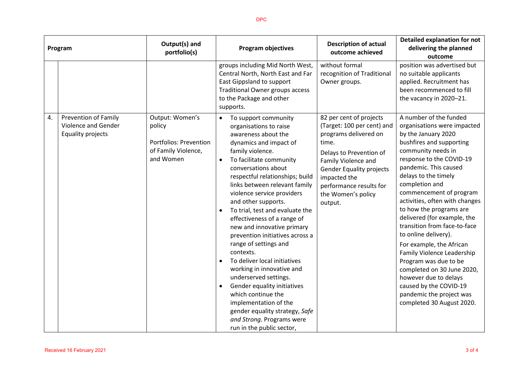| Program |                                                                         | Output(s) and<br>portfolio(s)                                                           | <b>Program objectives</b>                                                                                                                                                                                                                                                                                                                                                                                                                                                                                                                                                                                                                                                                                                                                         | <b>Description of actual</b><br>outcome achieved                                                                                                                                                                                                         | <b>Detailed explanation for not</b><br>delivering the planned<br>outcome                                                                                                                                                                                                                                                                                                                                                                                                                                                                                                                                                                  |
|---------|-------------------------------------------------------------------------|-----------------------------------------------------------------------------------------|-------------------------------------------------------------------------------------------------------------------------------------------------------------------------------------------------------------------------------------------------------------------------------------------------------------------------------------------------------------------------------------------------------------------------------------------------------------------------------------------------------------------------------------------------------------------------------------------------------------------------------------------------------------------------------------------------------------------------------------------------------------------|----------------------------------------------------------------------------------------------------------------------------------------------------------------------------------------------------------------------------------------------------------|-------------------------------------------------------------------------------------------------------------------------------------------------------------------------------------------------------------------------------------------------------------------------------------------------------------------------------------------------------------------------------------------------------------------------------------------------------------------------------------------------------------------------------------------------------------------------------------------------------------------------------------------|
|         |                                                                         |                                                                                         | groups including Mid North West,<br>Central North, North East and Far<br>East Gippsland to support<br><b>Traditional Owner groups access</b><br>to the Package and other<br>supports.                                                                                                                                                                                                                                                                                                                                                                                                                                                                                                                                                                             | without formal<br>recognition of Traditional<br>Owner groups.                                                                                                                                                                                            | position was advertised but<br>no suitable applicants<br>applied. Recruitment has<br>been recommenced to fill<br>the vacancy in 2020-21.                                                                                                                                                                                                                                                                                                                                                                                                                                                                                                  |
| 4.      | <b>Prevention of Family</b><br>Violence and Gender<br>Equality projects | Output: Women's<br>policy<br>Portfolios: Prevention<br>of Family Violence,<br>and Women | To support community<br>$\bullet$<br>organisations to raise<br>awareness about the<br>dynamics and impact of<br>family violence.<br>To facilitate community<br>$\bullet$<br>conversations about<br>respectful relationships; build<br>links between relevant family<br>violence service providers<br>and other supports.<br>To trial, test and evaluate the<br>effectiveness of a range of<br>new and innovative primary<br>prevention initiatives across a<br>range of settings and<br>contexts.<br>To deliver local initiatives<br>working in innovative and<br>underserved settings.<br>Gender equality initiatives<br>which continue the<br>implementation of the<br>gender equality strategy, Safe<br>and Strong. Programs were<br>run in the public sector, | 82 per cent of projects<br>(Target: 100 per cent) and<br>programs delivered on<br>time.<br>Delays to Prevention of<br>Family Violence and<br><b>Gender Equality projects</b><br>impacted the<br>performance results for<br>the Women's policy<br>output. | A number of the funded<br>organisations were impacted<br>by the January 2020<br>bushfires and supporting<br>community needs in<br>response to the COVID-19<br>pandemic. This caused<br>delays to the timely<br>completion and<br>commencement of program<br>activities, often with changes<br>to how the programs are<br>delivered (for example, the<br>transition from face-to-face<br>to online delivery).<br>For example, the African<br>Family Violence Leadership<br>Program was due to be<br>completed on 30 June 2020,<br>however due to delays<br>caused by the COVID-19<br>pandemic the project was<br>completed 30 August 2020. |